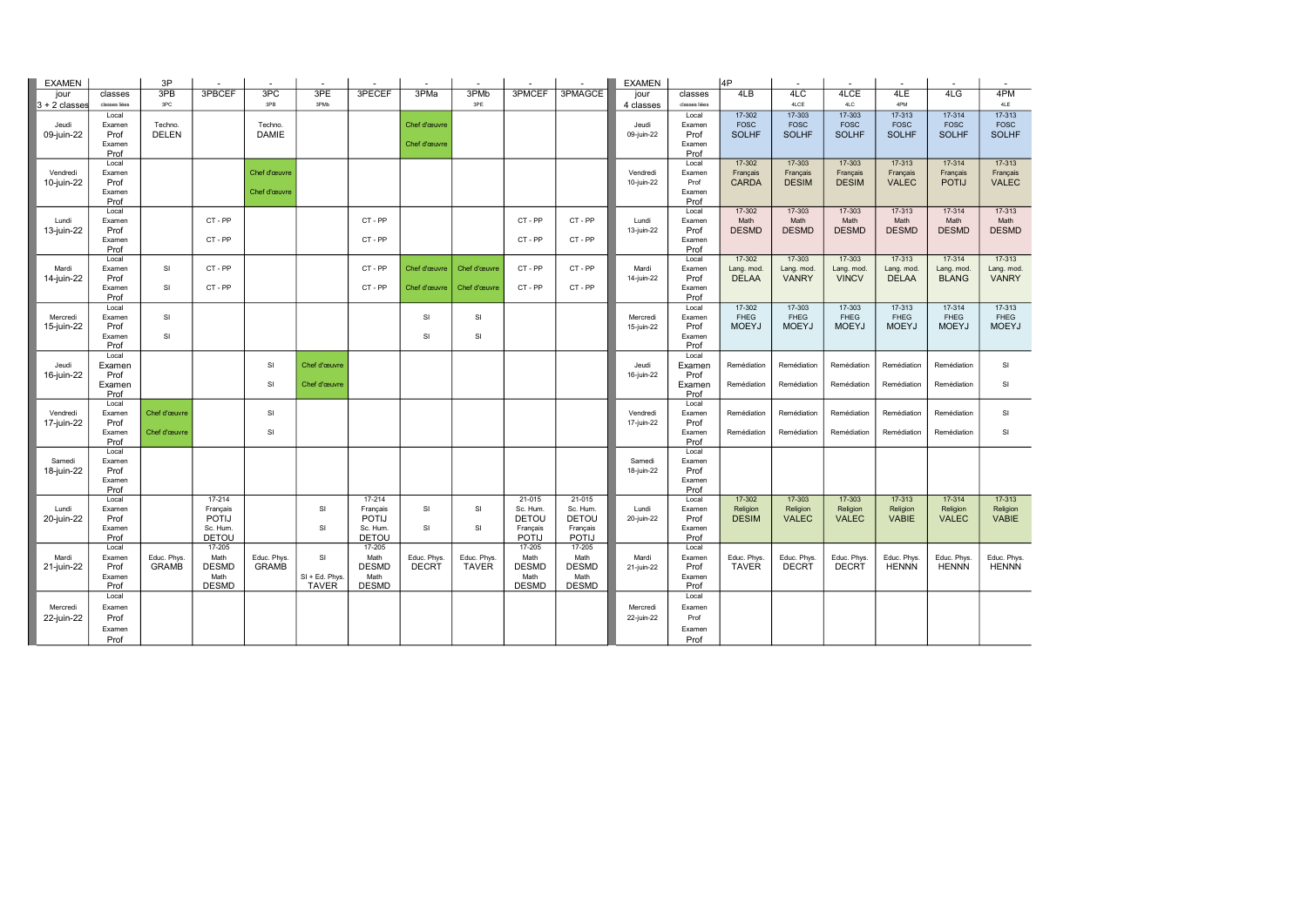| <b>EXAMEN</b>          |                | 3P                      |                          |                         |                |                          |              |              |                          |                          | <b>EXAMEN</b>       |                 | 4P                          |                             |                             |                             |                             |                              |
|------------------------|----------------|-------------------------|--------------------------|-------------------------|----------------|--------------------------|--------------|--------------|--------------------------|--------------------------|---------------------|-----------------|-----------------------------|-----------------------------|-----------------------------|-----------------------------|-----------------------------|------------------------------|
| jour                   | classes        | 3PB                     | 3PBCEF                   | 3PC                     | 3PE            | 3PECEF                   | 3PMa         | 3PMb         | 3PMCEF                   | 3PMAGCE                  | jour                | classes         | 4LB                         | 4LC                         | 4LCE                        | 4LE                         | 4LG                         | 4PM                          |
| $3 + 2$ classes        | classes liées  | 3PC                     |                          | 3PB                     | 3PMb           |                          |              | 3PE          |                          |                          | 4 classes           | classes liées   |                             | 4LCE                        | 4LC                         | 4PM                         |                             | 4LE                          |
|                        | Local          |                         |                          |                         |                |                          |              |              |                          |                          |                     | Local           | 17-302                      | 17-303                      | $17 - 303$                  | $17 - 313$                  | 17-314                      | $17 - 313$                   |
| Jeudi<br>09-juin-22    | Examen<br>Prof | Techno.<br><b>DELEN</b> |                          | Techno.<br><b>DAMIE</b> |                |                          | Chef d'œuvre |              |                          |                          | Jeudi<br>09-juin-22 | Examen<br>Prof  | <b>FOSC</b><br><b>SOLHF</b> | <b>FOSC</b><br><b>SOLHF</b> | <b>FOSC</b><br><b>SOLHF</b> | <b>FOSC</b><br><b>SOLHF</b> | <b>FOSC</b><br><b>SOLHF</b> | ${\tt FOSC}$<br><b>SOLHF</b> |
|                        | Examen         |                         |                          |                         |                |                          | Chef d'œuvre |              |                          |                          |                     | Examen          |                             |                             |                             |                             |                             |                              |
|                        | Prof           |                         |                          |                         |                |                          |              |              |                          |                          |                     | Prof            |                             |                             |                             |                             |                             |                              |
|                        | Local          |                         |                          |                         |                |                          |              |              |                          |                          |                     | Local           | 17-302                      | 17-303                      | 17-303                      | 17-313                      | 17-314                      | $17 - 313$                   |
| Vendredi               | Examen         |                         |                          | Chef d'œuvre            |                |                          |              |              |                          |                          | Vendredi            | Examen          | Français                    | Français                    | Français                    | Français                    | Français                    | Français                     |
| 10-juin-22             | Prof           |                         |                          |                         |                |                          |              |              |                          |                          | 10-juin-22          | Prof            | <b>CARDA</b>                | <b>DESIM</b>                | <b>DESIM</b>                | <b>VALEC</b>                | <b>POTIJ</b>                | <b>VALEC</b>                 |
|                        | Examen<br>Prof |                         |                          | Chef d'œuvre            |                |                          |              |              |                          |                          |                     | Examen          |                             |                             |                             |                             |                             |                              |
|                        | Local          |                         |                          |                         |                |                          |              |              |                          |                          |                     | Prof<br>Local   | $17 - 302$                  | 17-303                      | $17 - 303$                  | 17-313                      | $17-314$                    | $17 - 313$                   |
| Lundi                  | Examen         |                         | CT-PP                    |                         |                | CT-PP                    |              |              | CT-PP                    | CT-PP                    | Lundi               | Examen          | Math                        | Math                        | Math                        | Math                        | Math                        | Math                         |
| 13-juin-22             | Prof           |                         |                          |                         |                |                          |              |              |                          |                          | 13-juin-22          | Prof            | <b>DESMD</b>                | <b>DESMD</b>                | <b>DESMD</b>                | <b>DESMD</b>                | <b>DESMD</b>                | <b>DESMD</b>                 |
|                        | Examen         |                         | CT-PP                    |                         |                | CT-PP                    |              |              | CT-PP                    | CT-PP                    |                     | Examen          |                             |                             |                             |                             |                             |                              |
|                        | Prof           |                         |                          |                         |                |                          |              |              |                          |                          |                     | Prof            |                             |                             |                             |                             |                             |                              |
|                        | Local          |                         |                          |                         |                |                          |              |              |                          |                          |                     | Local           | 17-302                      | 17-303                      | 17-303                      | 17-313                      | 17-314                      | $17-313$                     |
| Mardi                  | Examen         | SI                      | CT-PP                    |                         |                | CT-PP                    | Chef d'œuvre | Chef d'œuvre | CT-PP                    | CT-PP                    | Mardi               | Examen          | Lang. mod.                  | Lang. mod.                  | Lang. mod.                  | Lang. mod.                  | Lang. mod.                  | Lang. mod.<br><b>VANRY</b>   |
| 14-juin-22             | Prof<br>Examen | SI                      | CT-PP                    |                         |                | CT-PP                    | Chef d'œuvre | Chef d'œuvre | CT-PP                    | CT-PP                    | 14-juin-22          | Prof<br>Examen  | <b>DELAA</b>                | <b>VANRY</b>                | <b>VINCV</b>                | <b>DELAA</b>                | <b>BLANG</b>                |                              |
|                        | Prof           |                         |                          |                         |                |                          |              |              |                          |                          |                     | Prof            |                             |                             |                             |                             |                             |                              |
|                        | Local          |                         |                          |                         |                |                          |              |              |                          |                          |                     | Local           | $17 - 302$                  | 17-303                      | 17-303                      | 17-313                      | 17-314                      | 17-313                       |
| Mercredi               | Examen         | SI                      |                          |                         |                |                          | SI           | SI           |                          |                          | Mercredi            | Examen          | <b>FHEG</b>                 | <b>FHEG</b>                 | <b>FHEG</b>                 | <b>FHEG</b>                 | <b>FHEG</b>                 | <b>FHEG</b>                  |
| 15-juin-22             | Prof           |                         |                          |                         |                |                          |              |              |                          |                          | 15-juin-22          | Prof            | <b>MOEYJ</b>                | <b>MOEYJ</b>                | <b>MOEYJ</b>                | <b>MOEYJ</b>                | <b>MOEYJ</b>                | <b>MOEYJ</b>                 |
|                        | Examen         | SI                      |                          |                         |                |                          | SI           | SI           |                          |                          |                     | Examen          |                             |                             |                             |                             |                             |                              |
|                        | Prof           |                         |                          |                         |                |                          |              |              |                          |                          |                     | Prof            |                             |                             |                             |                             |                             |                              |
| Jeudi                  | Local          |                         |                          | SI                      | Chef d'œuvre   |                          |              |              |                          |                          | Jeudi               | Local<br>Examen | Remédiation                 | Remédiation                 | Remédiation                 | Remédiation                 | Remédiation                 | SI                           |
| 16-juin-22             | Examen<br>Prof |                         |                          |                         |                |                          |              |              |                          |                          | 16-juin-22          | Prof            |                             |                             |                             |                             |                             |                              |
|                        | Examen         |                         |                          | SI                      | Chef d'œuvre   |                          |              |              |                          |                          |                     | Examen          | Remédiation                 | Remédiation                 | Remédiation                 | Remédiation                 | Remédiation                 | SI                           |
|                        | Prof           |                         |                          |                         |                |                          |              |              |                          |                          |                     | Prof            |                             |                             |                             |                             |                             |                              |
|                        | Local          |                         |                          |                         |                |                          |              |              |                          |                          |                     | Local           |                             |                             |                             |                             |                             |                              |
| Vendredi               | Examen         | Chef d'œuvre            |                          | SI                      |                |                          |              |              |                          |                          | Vendredi            | Examen          | Remédiation                 | Remédiation                 | Remédiation                 | Remédiation                 | Remédiation                 | SI                           |
| 17-juin-22             | Prof           |                         |                          |                         |                |                          |              |              |                          |                          | 17-juin-22          | Prof            |                             |                             |                             |                             |                             |                              |
|                        | Examen<br>Prof | Chef d'œuvre            |                          | SI                      |                |                          |              |              |                          |                          |                     | Examen<br>Prof  | Remédiation                 | Remédiation                 | Remédiation                 | Remédiation                 | Remédiation                 | SI                           |
|                        | Local          |                         |                          |                         |                |                          |              |              |                          |                          |                     | Local           |                             |                             |                             |                             |                             |                              |
| Samedi                 | Examen         |                         |                          |                         |                |                          |              |              |                          |                          | Samedi              | Examen          |                             |                             |                             |                             |                             |                              |
| 18-juin-22             | Prof           |                         |                          |                         |                |                          |              |              |                          |                          | 18-juin-22          | Prof            |                             |                             |                             |                             |                             |                              |
|                        | Examen         |                         |                          |                         |                |                          |              |              |                          |                          |                     | Examen          |                             |                             |                             |                             |                             |                              |
|                        | Prof           |                         |                          |                         |                |                          |              |              |                          |                          |                     | Prof            |                             |                             |                             |                             |                             |                              |
|                        | Local          |                         | $17 - 214$               |                         |                | $17 - 214$               |              |              | $21-015$                 | $21-015$                 |                     | Local           | $17 - 302$                  | 17-303                      | 17-303                      | $17 - 313$                  | $17 - 314$                  | 17-313                       |
| Lundi                  | Examen<br>Prof |                         | Français<br><b>POTIJ</b> |                         | SI             | Français<br><b>POTIJ</b> | SI           | SI           | Sc. Hum.<br><b>DETOU</b> | Sc. Hum.<br><b>DETOU</b> | Lundi<br>20-juin-22 | Examen<br>Prof  | Religion<br><b>DESIM</b>    | Religion<br><b>VALEC</b>    | Religion<br><b>VALEC</b>    | Religion<br><b>VABIE</b>    | Religion<br><b>VALEC</b>    | Religion<br>VABIE            |
| 20-juin-22             | Examen         |                         | Sc. Hum.                 |                         | SI             | Sc. Hum.                 | SI           | SI           | Français                 | Français                 |                     | Examen          |                             |                             |                             |                             |                             |                              |
|                        | Prof           |                         | <b>DETOU</b>             |                         |                | <b>DETOU</b>             |              |              | <b>POTIJ</b>             | <b>POTIJ</b>             |                     | Prof            |                             |                             |                             |                             |                             |                              |
|                        | Local          |                         | 17-205                   |                         |                | 17-205                   |              |              | 17-205                   | 17-205                   |                     | Local           |                             |                             |                             |                             |                             |                              |
| Mardi                  | Examen         | Educ. Phys.             | Math                     | Educ. Phys.             | SI             | Math                     | Educ. Phys.  | Educ. Phys.  | Math                     | Math                     | Mardi               | Examen          | Educ. Phys.                 | Educ. Phys.                 | Educ. Phys.                 | Educ. Phys.                 | Educ. Phys.                 | Educ. Phys.                  |
| $21$ -juin-22          | Prof           | <b>GRAMB</b>            | <b>DESMD</b>             | <b>GRAMB</b>            |                | <b>DESMD</b>             | <b>DECRT</b> | TAVER        | <b>DESMD</b>             | <b>DESMD</b>             | $21$ -juin-22       | Prof            | <b>TAVER</b>                | <b>DECRT</b>                | <b>DECRT</b>                | <b>HENNN</b>                | <b>HENNN</b>                | <b>HENNN</b>                 |
|                        | Examen         |                         | Math                     |                         | SI + Ed. Phys. | Math                     |              |              | Math                     | Math                     |                     | Examen          |                             |                             |                             |                             |                             |                              |
|                        | Prof           |                         | <b>DESMD</b>             |                         | TAVER          | <b>DESMD</b>             |              |              | <b>DESMD</b>             | <b>DESMD</b>             |                     | Prof            |                             |                             |                             |                             |                             |                              |
|                        | Local          |                         |                          |                         |                |                          |              |              |                          |                          |                     | Local           |                             |                             |                             |                             |                             |                              |
| Mercredi<br>22-juin-22 | Examen<br>Prof |                         |                          |                         |                |                          |              |              |                          |                          | Mercredi            | Examen<br>Prof  |                             |                             |                             |                             |                             |                              |
|                        | Examen         |                         |                          |                         |                |                          |              |              |                          |                          | 22-juin-22          | Examen          |                             |                             |                             |                             |                             |                              |
|                        | Prof           |                         |                          |                         |                |                          |              |              |                          |                          |                     | Prof            |                             |                             |                             |                             |                             |                              |
|                        |                |                         |                          |                         |                |                          |              |              |                          |                          |                     |                 |                             |                             |                             |                             |                             |                              |

| 4PM          |
|--------------|
| 4LE          |
| 17-313       |
| FOSC         |
| <b>SOLHF</b> |
|              |
| $17 - 313$   |
| Français     |
| <b>VALEC</b> |
|              |
|              |
| $17 - 313$   |
| Math         |
| <b>DESMD</b> |
|              |
|              |
| $17 - 313$   |
| Lang. mod.   |
| <b>VANRY</b> |
|              |
| $17 - 313$   |
| <b>FHEG</b>  |
| <b>MOEYJ</b> |
|              |
|              |
|              |
| SI           |
|              |
| SI           |
|              |
| SI           |
|              |
| SI           |
|              |
|              |

| 17-313   |  |
|----------|--|
| Religion |  |
|          |  |
|          |  |
| VABIE    |  |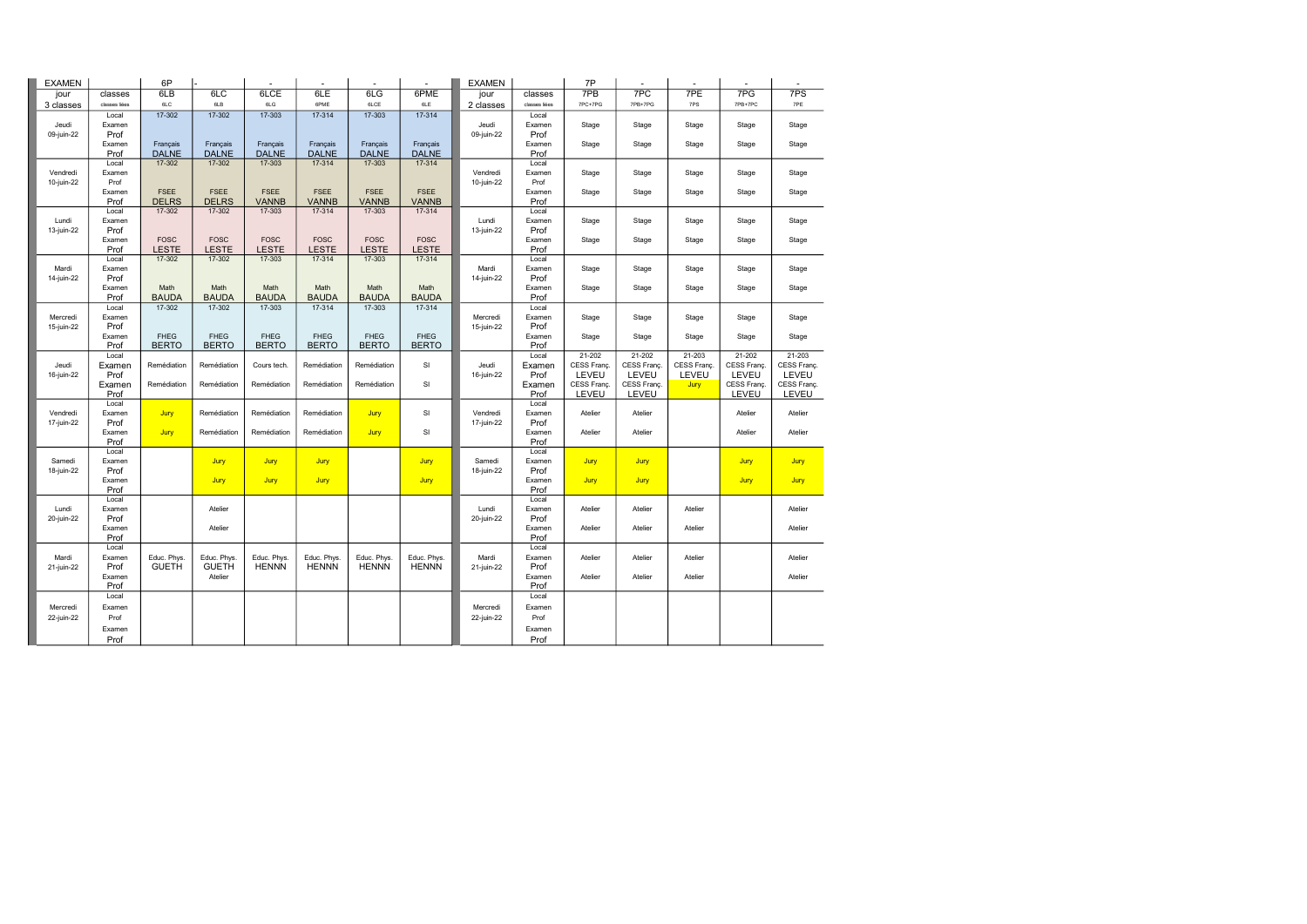| <b>EXAMEN</b>          |                | 6P           |                         |              |              |              |              | <b>EXAMEN</b>          |                | 7P          |             |             |             |             |
|------------------------|----------------|--------------|-------------------------|--------------|--------------|--------------|--------------|------------------------|----------------|-------------|-------------|-------------|-------------|-------------|
| jour                   | classes        | 6LB          | 6LC                     | 6LCE         | 6LE          | 6LG          | 6PME         | jour                   | classes        | 7PB         | 7PC         | 7PE         | 7PG         | 7PS         |
| 3 classes              | classes liées  | 6LC          | 6LB                     | 6LG          | 6PME         | 6LCE         | 6LE          | 2 classes              | classes liées  | 7PC+7PG     | 7PB+7PG     | 7PS         | 7PB+7PC     | 7PE         |
|                        | Local          | $17 - 302$   | 17-302                  | 17-303       | 17-314       | 17-303       | 17-314       |                        | Local          |             |             |             |             |             |
| Jeudi                  | Examen         |              |                         |              |              |              |              | Jeudi                  | Examen         | Stage       | Stage       | Stage       | Stage       | Stage       |
| 09-juin-22             | Prof           |              |                         |              |              |              |              | 09-juin-22             | Prof           |             |             |             |             |             |
|                        | Examen         | Français     | Français                | Français     | Français     | Français     | Français     |                        | Examen         | Stage       | Stage       | Stage       | Stage       | Stage       |
|                        | Prof           | <b>DALNE</b> | <b>DALNE</b>            | <b>DALNE</b> | <b>DALNE</b> | <b>DALNE</b> | <b>DALNE</b> |                        | Prof           |             |             |             |             |             |
|                        | Local          | 17-302       | 17-302                  | 17-303       | 17-314       | 17-303       | 17-314       |                        | Local          |             |             |             |             |             |
| Vendredi               | Examen         |              |                         |              |              |              |              | Vendredi               | Examen         | Stage       | Stage       | Stage       | Stage       | Stage       |
| 10-juin-22             | Prof<br>Examen | <b>FSEE</b>  | <b>FSEE</b>             | <b>FSEE</b>  | <b>FSEE</b>  | <b>FSEE</b>  | <b>FSEE</b>  | 10-juin-22             | Prof<br>Examen | Stage       | Stage       | Stage       | Stage       | Stage       |
|                        | Prof           | <b>DELRS</b> | <b>DELRS</b>            | <b>VANNB</b> | <b>VANNB</b> | <b>VANNB</b> | <b>VANNB</b> |                        | Prof           |             |             |             |             |             |
|                        | Local          | 17-302       | 17-302                  | 17-303       | 17-314       | 17-303       | 17-314       |                        | Local          |             |             |             |             |             |
| Lundi                  | Examen         |              |                         |              |              |              |              | Lundi                  | Examen         | Stage       | Stage       | Stage       | Stage       | Stage       |
| 13-juin-22             | Prof           |              |                         |              |              |              |              | 13-juin-22             | Prof           |             |             |             |             |             |
|                        | Examen         | <b>FOSC</b>  | <b>FOSC</b>             | <b>FOSC</b>  | <b>FOSC</b>  | <b>FOSC</b>  | <b>FOSC</b>  |                        | Examen         | Stage       | Stage       | Stage       | Stage       | Stage       |
|                        | Prof           | <b>LESTE</b> | <b>LESTE</b>            | <b>LESTE</b> | <b>LESTE</b> | <b>LESTE</b> | <b>LESTE</b> |                        | Prof           |             |             |             |             |             |
|                        | Local          | 17-302       | 17-302                  | 17-303       | 17-314       | 17-303       | 17-314       |                        | Local          |             |             |             |             |             |
| Mardi                  | Examen         |              |                         |              |              |              |              | Mardi                  | Examen         | Stage       | Stage       | Stage       | Stage       | Stage       |
| 14-juin-22             | Prof           |              |                         |              |              |              |              | 14-juin-22             | Prof           |             |             |             |             |             |
|                        | Examen         | Math         | Math                    | Math         | Math         | Math         | Math         |                        | Examen         | Stage       | Stage       | Stage       | Stage       | Stage       |
|                        | Prof           | <b>BAUDA</b> | <b>BAUDA</b>            | <b>BAUDA</b> | <b>BAUDA</b> | <b>BAUDA</b> | <b>BAUDA</b> |                        | Prof           |             |             |             |             |             |
|                        | Local          | 17-302       | 17-302                  | 17-303       | 17-314       | 17-303       | 17-314       |                        | Local          |             |             |             |             |             |
| Mercredi<br>15-juin-22 | Examen<br>Prof |              |                         |              |              |              |              | Mercredi<br>15-juin-22 | Examen<br>Prof | Stage       | Stage       | Stage       | Stage       | Stage       |
|                        | Examen         | <b>FHEG</b>  | <b>FHEG</b>             | <b>FHEG</b>  | <b>FHEG</b>  | <b>FHEG</b>  | <b>FHEG</b>  |                        | Examen         | Stage       | Stage       | Stage       | Stage       | Stage       |
|                        | Prof           | <b>BERTO</b> | <b>BERTO</b>            | <b>BERTO</b> | <b>BERTO</b> | <b>BERTO</b> | <b>BERTO</b> |                        | Prof           |             |             |             |             |             |
|                        | Local          |              |                         |              |              |              |              |                        | Local          | 21-202      | 21-202      | 21-203      | 21-202      | 21-203      |
| Jeudi                  | Examen         | Remédiation  | Remédiation             | Cours tech.  | Remédiation  | Remédiation  | SI           | Jeudi                  | Examen         | CESS Franç. | CESS Franç. | CESS Franç. | CESS Franç  | CESS Franç. |
| 16-juin-22             | Prof           |              |                         |              |              |              |              | 16-juin-22             | Prof           | LEVEU       | LEVEU       | LEVEU       | LEVEU       | LEVEU       |
|                        | Examen         | Remédiation  | Remédiation             | Remédiation  | Remédiation  | Remédiation  | SI           |                        | Examen         | CESS Franç. | CESS Franç. | Jury        | CESS Franç. | CESS Franç. |
|                        | Prof           |              |                         |              |              |              |              |                        | Prof           | LEVEU       | LEVEU       |             | LEVEU       | LEVEU       |
|                        | Local          |              |                         |              |              |              |              |                        | Local          |             |             |             |             |             |
| Vendredi               | Examen         | Jury         | Remédiation             | Remédiation  | Remédiation  | Jury         | SI           | Vendredi               | Examen         | Atelier     | Atelier     |             | Atelier     | Atelier     |
| 17-juin-22             | Prof           |              |                         |              |              |              |              | 17-juin-22             | Prof           |             |             |             |             |             |
|                        | Examen         | Jury         | Remédiation             | Remédiation  | Remédiation  | Jury         | SI           |                        | Examen         | Atelier     | Atelier     |             | Atelier     | Atelier     |
|                        | Prof<br>Local  |              |                         |              |              |              |              |                        | Prof<br>Local  |             |             |             |             |             |
| Samedi                 | Examen         |              | Jury                    | Jury         | Jury         |              | Jury         | Samedi                 | Examen         | Jury        | Jury        |             | Jury        |             |
| 18-juin-22             | Prof           |              |                         |              |              |              |              | 18-juin-22             | Prof           |             |             |             |             | Jury        |
|                        | Examen         |              | Jury                    | Jury         | Jury         |              | Jury         |                        | Examen         | Jury        | Jury        |             | Jury        | Jury        |
|                        | Prof           |              |                         |              |              |              |              |                        | Prof           |             |             |             |             |             |
|                        | Local          |              |                         |              |              |              |              |                        | Local          |             |             |             |             |             |
| Lundi                  | Examen         |              | Atelier                 |              |              |              |              | Lundi                  | Examen         | Atelier     | Atelier     | Atelier     |             | Atelier     |
| 20-juin-22             | Prof           |              |                         |              |              |              |              | 20-juin-22             | Prof           |             |             |             |             |             |
|                        | Examen         |              | Atelier                 |              |              |              |              |                        | Examen         | Atelier     | Atelier     | Atelier     |             | Atelier     |
|                        | Prof           |              |                         |              |              |              |              |                        | Prof           |             |             |             |             |             |
|                        | Local          |              |                         |              |              |              |              |                        | Local          |             |             |             |             |             |
| Mardi                  | Examen         | Educ. Phys.  | Educ. Phys.             | Educ. Phys.  | Educ. Phys.  | Educ. Phys   | Educ. Phys.  | Mardi                  | Examen         | Atelier     | Atelier     | Atelier     |             | Atelier     |
| 21-juin-22             | Prof           | <b>GUETH</b> | <b>GUETH</b><br>Atelier | <b>HENNN</b> | <b>HENNN</b> | <b>HENNN</b> | <b>HENNN</b> | 21-juin-22             | Prof           | Atelier     | Atelier     |             |             | Atelier     |
|                        | Examen<br>Prof |              |                         |              |              |              |              |                        | Examen<br>Prof |             |             | Atelier     |             |             |
|                        | Local          |              |                         |              |              |              |              |                        | Local          |             |             |             |             |             |
| Mercredi               | Examen         |              |                         |              |              |              |              | Mercredi               | Examen         |             |             |             |             |             |
| 22-juin-22             | Prof           |              |                         |              |              |              |              | 22-juin-22             | Prof           |             |             |             |             |             |
|                        |                |              |                         |              |              |              |              |                        |                |             |             |             |             |             |
|                        | Examen         |              |                         |              |              |              |              |                        | Examen         |             |             |             |             |             |
|                        | Prof           |              |                         |              |              |              |              |                        | Prof           |             |             |             |             |             |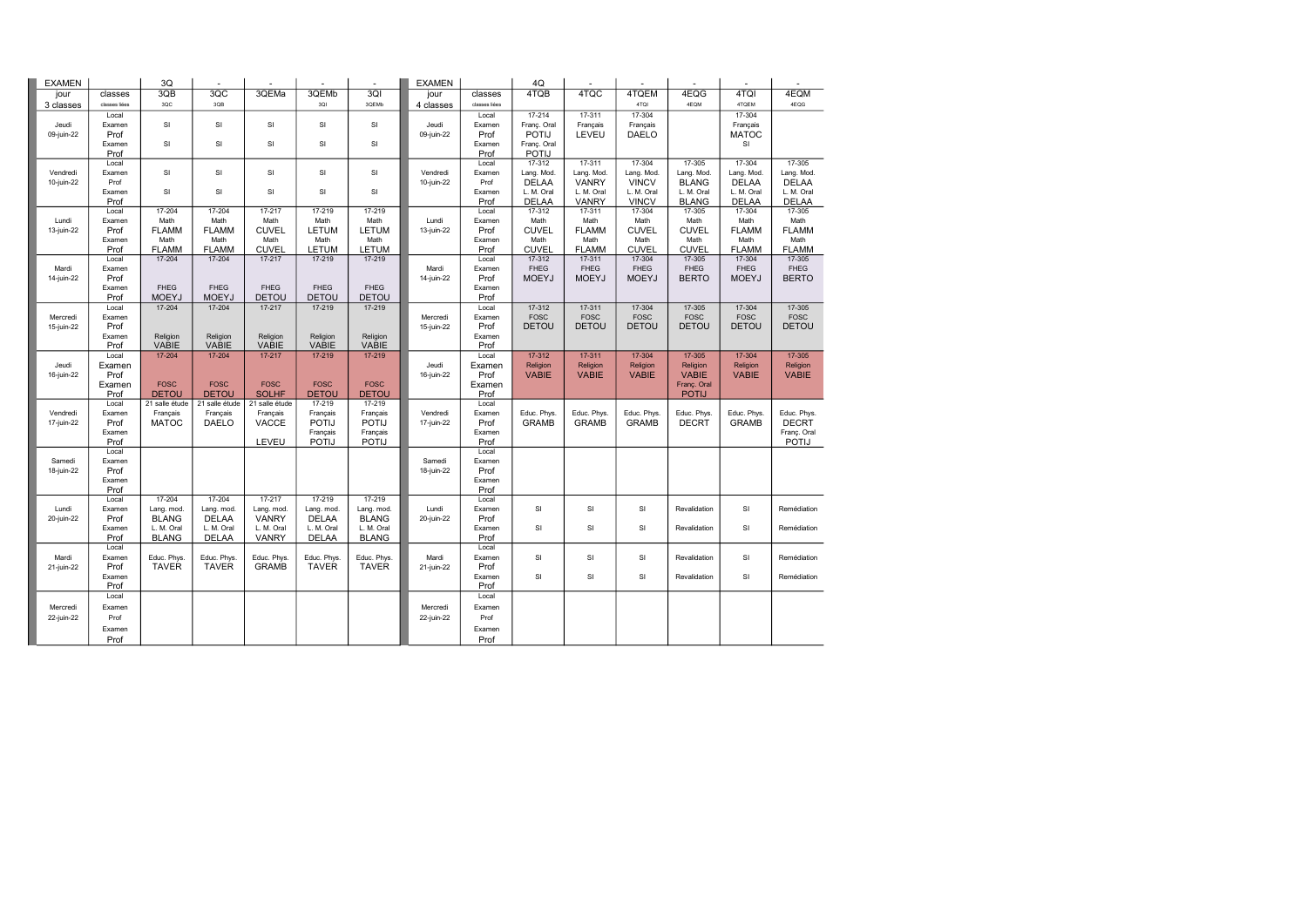| <b>EXAMEN</b>          |                | 3Q                       |                          |                   |                          |                          | <b>EXAMEN</b>          |                 | 4Q                          |                             |                             |                             |                             |                             |
|------------------------|----------------|--------------------------|--------------------------|-------------------|--------------------------|--------------------------|------------------------|-----------------|-----------------------------|-----------------------------|-----------------------------|-----------------------------|-----------------------------|-----------------------------|
| jour                   | classes        | 3QB                      | 3QC                      | 3QEMa             | 3QEMb                    | 3QI                      | jour                   | classes         | 4TQB                        | 4TQC                        | 4TQEM                       | 4EQG                        | 4TQI                        | 4EQM                        |
| 3 classes              | classes liées  | 3QC                      | 3QB                      |                   | 3QI                      | 3QEMb                    | 4 classes              | classes liées   |                             |                             | 4TQI                        | 4EQM                        | 4TQEM                       | 4EQG                        |
|                        | Local          |                          |                          |                   |                          |                          |                        | Local           | 17-214                      | 17-311                      | 17-304                      |                             | 17-304                      |                             |
| Jeudi                  | Examen         | SI                       | SI                       | SI                | SI                       | SI                       | Jeudi                  | Examen          | Franç. Oral                 | Français                    | Français                    |                             | Français                    |                             |
| 09-juin-22             | Prof           |                          |                          |                   |                          |                          | 09-juin-22             | Prof            | POTIJ                       | LEVEU                       | <b>DAELO</b>                |                             | <b>MATOC</b>                |                             |
|                        | Examen         | SI                       | SI                       | <b>SI</b>         | SI                       | SI                       |                        | Examen          | Franç. Oral                 |                             |                             |                             | SI                          |                             |
|                        | Prof<br>Local  |                          |                          |                   |                          |                          |                        | Prof<br>Local   | <b>POTIJ</b><br>17-312      | $17 - 311$                  | 17-304                      | 17-305                      | 17-304                      | 17-305                      |
| Vendredi               | Examen         | SI                       | SI                       | SI                | SI                       | SI                       | Vendredi               | Examen          | Lang. Mod.                  | Lang. Mod.                  | Lang. Mod.                  | Lang. Mod                   | Lang. Mod.                  | Lang. Mod.                  |
| 10-juin-22             | Prof           |                          |                          |                   |                          |                          | 10-juin-22             | Prof            | <b>DELAA</b>                | <b>VANRY</b>                | <b>VINCV</b>                | <b>BLANG</b>                | <b>DELAA</b>                | <b>DELAA</b>                |
|                        | Examen         | SI                       | SI                       | SI                | SI                       | SI                       |                        | Examen          | L. M. Oral                  | L. M. Oral                  | L. M. Oral                  | L. M. Oral                  | L. M. Oral                  | L. M. Oral                  |
|                        | Prof           |                          |                          |                   |                          |                          |                        | Prof            | <b>DELAA</b>                | VANRY                       | <b>VINCV</b>                | <b>BLANG</b>                | <b>DELAA</b>                | <b>DELAA</b>                |
|                        | Local          | 17-204                   | 17-204                   | 17-217            | 17-219                   | 17-219                   |                        | Local           | 17-312                      | 17-311                      | 17-304                      | 17-305                      | 17-304                      | 17-305                      |
| Lundi                  | Examen         | Math                     | Math                     | Math              | Math                     | Math                     | Lundi                  | Examen          | Math                        | Math                        | Math                        | Math                        | Math                        | Math                        |
| 13-juin-22             | Prof           | <b>FLAMM</b>             | <b>FLAMM</b>             | <b>CUVEL</b>      | <b>LETUM</b>             | <b>LETUM</b>             | 13-juin-22             | Prof            | <b>CUVEL</b>                | <b>FLAMM</b>                | <b>CUVEL</b>                | <b>CUVEL</b>                | <b>FLAMM</b>                | <b>FLAMM</b>                |
|                        | Examen         | Math                     | Math                     | Math              | Math                     | Math                     |                        | Examen          | Math                        | Math                        | Math                        | Math                        | Math                        | Math                        |
|                        | Prof           | <b>FLAMM</b>             | <b>FLAMM</b>             | <b>CUVEL</b>      | <b>LETUM</b>             | <b>LETUM</b>             |                        | Prof            | <b>CUVEL</b>                | <b>FLAMM</b>                | <b>CUVEL</b>                | <b>CUVEL</b>                | <b>FLAMM</b>                | <b>FLAMM</b>                |
|                        | Local          | 17-204                   | 17-204                   | 17-217            | 17-219                   | 17-219                   |                        | Local           | 17-312                      | 17-311                      | 17-304                      | 17-305                      | 17-304                      | 17-305                      |
| Mardi                  | Examen         |                          |                          |                   |                          |                          | Mardi                  | Examen          | <b>FHEG</b>                 | <b>FHEG</b>                 | <b>FHEG</b>                 | <b>FHEG</b>                 | <b>FHEG</b>                 | FHEG<br><b>BERTO</b>        |
| 14-juin-22             | Prof<br>Examen | <b>FHEG</b>              | <b>FHEG</b>              | <b>FHEG</b>       | <b>FHEG</b>              | <b>FHEG</b>              | 14-juin-22             | Prof<br>Examen  | <b>MOEYJ</b>                | <b>MOEYJ</b>                | <b>MOEYJ</b>                | <b>BERTO</b>                | <b>MOEYJ</b>                |                             |
|                        | Prof           | <b>MOEYJ</b>             | <b>MOEYJ</b>             | <b>DETOU</b>      | <b>DETOU</b>             | <b>DETOU</b>             |                        | Prof            |                             |                             |                             |                             |                             |                             |
|                        | Local          | 17-204                   | 17-204                   | 17-217            | 17-219                   | 17-219                   |                        | Local           | 17-312                      | 17-311                      | 17-304                      | 17-305                      | 17-304                      | 17-305                      |
| Mercredi               | Examen         |                          |                          |                   |                          |                          | Mercredi               | Examen          | <b>FOSC</b>                 | <b>FOSC</b>                 | <b>FOSC</b>                 | <b>FOSC</b>                 | FOSC                        | <b>FOSC</b>                 |
| 15-juin-22             | Prof           |                          |                          |                   |                          |                          | 15-juin-22             | Prof            | <b>DETOU</b>                | <b>DETOU</b>                | <b>DETOU</b>                | <b>DETOU</b>                | <b>DETOU</b>                | <b>DETOU</b>                |
|                        | Examen         | Religion                 | Religion                 | Religion          | Religion                 | Religion                 |                        | Examen          |                             |                             |                             |                             |                             |                             |
|                        | Prof           | <b>VABIE</b>             | VABIE                    | <b>VABIE</b>      | VABIE                    | <b>VABIE</b>             |                        | Prof            |                             |                             |                             |                             |                             |                             |
|                        | Local          | 17-204                   | 17-204                   | 17-217            | 17-219                   | 17-219                   |                        | Local           | $17 - 312$                  | 17-311                      | 17-304                      | 17-305                      | 17-304                      | 17-305                      |
| Jeudi                  | Examen         |                          |                          |                   |                          |                          | Jeudi                  | Examen          | Religion                    | Religion                    | Religion                    | Religion                    | Religion                    | Religion                    |
| 16-juin-22             | Prof           |                          |                          |                   |                          |                          | 16-juin-22             | Prof            | <b>VABIE</b>                | <b>VABIE</b>                | <b>VABIE</b>                | <b>VABIE</b>                | <b>VABIE</b>                | <b>VABIE</b>                |
|                        | Examen         | <b>FOSC</b>              | <b>FOSC</b>              | <b>FOSC</b>       | <b>FOSC</b>              | <b>FOSC</b>              |                        | Examen          |                             |                             |                             | Franç. Oral                 |                             |                             |
|                        | Prof           | <b>DETOU</b>             | <b>DETOU</b>             | <b>SOLHF</b>      | <b>DETOU</b>             | <b>DETOU</b>             |                        | Prof            |                             |                             |                             | <b>POTIJ</b>                |                             |                             |
|                        | Local          | 21 salle étude           | 21 salle étude           | 21 salle étude    | 17-219                   | 17-219                   |                        | Local           |                             |                             |                             |                             |                             |                             |
| Vendredi<br>17-juin-22 | Examen<br>Prof | Français<br><b>MATOC</b> | Français<br><b>DAELO</b> | Français<br>VACCE | Français<br><b>POTIJ</b> | Français<br><b>POTIJ</b> | Vendredi<br>17-juin-22 | Examen<br>Prof  | Educ. Phys.<br><b>GRAMB</b> | Educ. Phys.<br><b>GRAMB</b> | Educ. Phys.<br><b>GRAMB</b> | Educ. Phys.<br><b>DECRT</b> | Educ. Phys.<br><b>GRAMB</b> | Educ. Phys.<br><b>DECRT</b> |
|                        | Examen         |                          |                          |                   | Français                 | Français                 |                        | Examen          |                             |                             |                             |                             |                             | Franç. Oral                 |
|                        | Prof           |                          |                          | LEVEU             | <b>POTIJ</b>             | <b>POTIJ</b>             |                        | Prof            |                             |                             |                             |                             |                             | POTIJ                       |
|                        | Local          |                          |                          |                   |                          |                          |                        | Local           |                             |                             |                             |                             |                             |                             |
| Samedi                 | Examen         |                          |                          |                   |                          |                          | Samedi                 | Examen          |                             |                             |                             |                             |                             |                             |
| 18-juin-22             | Prof           |                          |                          |                   |                          |                          | 18-juin-22             | Prof            |                             |                             |                             |                             |                             |                             |
|                        | Examen         |                          |                          |                   |                          |                          |                        | Examen          |                             |                             |                             |                             |                             |                             |
|                        | Prof           |                          |                          |                   |                          |                          |                        | Prof            |                             |                             |                             |                             |                             |                             |
|                        | Local          | 17-204                   | 17-204                   | $17 - 217$        | 17-219                   | 17-219                   |                        | Local           |                             |                             |                             |                             |                             |                             |
| Lundi                  | Examen         | Lang. mod.               | Lang. mod.               | Lang. mod.        | Lang. mod.               | Lang. mod.               | Lundi                  | Examen          | SI                          | SI                          | SI                          | Revalidation                | SI                          | Remédiation                 |
| 20-juin-22             | Prof           | <b>BLANG</b>             | <b>DELAA</b>             | <b>VANRY</b>      | <b>DELAA</b>             | <b>BLANG</b>             | 20-juin-22             | Prof            |                             |                             |                             |                             |                             |                             |
|                        | Examen         | L. M. Oral               | L. M. Oral               | L. M. Oral        | L. M. Oral               | L. M. Oral               |                        | Examen          | SI                          | $\mathsf{SI}$               | SI                          | Revalidation                | SI                          | Remédiation                 |
|                        | Prof<br>Local  | <b>BLANG</b>             | <b>DELAA</b>             | <b>VANRY</b>      | <b>DELAA</b>             | <b>BLANG</b>             |                        | Prof            |                             |                             |                             |                             |                             |                             |
| Mardi                  | Examen         | Educ. Phys.              | Educ. Phys.              | Educ. Phys        | Educ. Phys.              | Educ. Phys.              | Mardi                  | Local<br>Examen | SI                          | SI                          | SI                          | Revalidation                | SI                          | Remédiation                 |
| 21-juin-22             | Prof           | <b>TAVER</b>             | <b>TAVER</b>             | <b>GRAMB</b>      | <b>TAVER</b>             | <b>TAVER</b>             | 21-juin-22             | Prof            |                             |                             |                             |                             |                             |                             |
|                        | Examen         |                          |                          |                   |                          |                          |                        | Examen          | SI                          | SI                          | SI                          | Revalidation                | SI                          | Remédiation                 |
|                        | Prof           |                          |                          |                   |                          |                          |                        | Prof            |                             |                             |                             |                             |                             |                             |
|                        | Local          |                          |                          |                   |                          |                          |                        | Local           |                             |                             |                             |                             |                             |                             |
| Mercredi               | Examen         |                          |                          |                   |                          |                          | Mercredi               | Examen          |                             |                             |                             |                             |                             |                             |
| 22-juin-22             | Prof           |                          |                          |                   |                          |                          | 22-juin-22             | Prof            |                             |                             |                             |                             |                             |                             |
|                        | Examen         |                          |                          |                   |                          |                          |                        | Examen          |                             |                             |                             |                             |                             |                             |
|                        | Prof           |                          |                          |                   |                          |                          |                        | Prof            |                             |                             |                             |                             |                             |                             |
|                        |                |                          |                          |                   |                          |                          |                        |                 |                             |                             |                             |                             |                             |                             |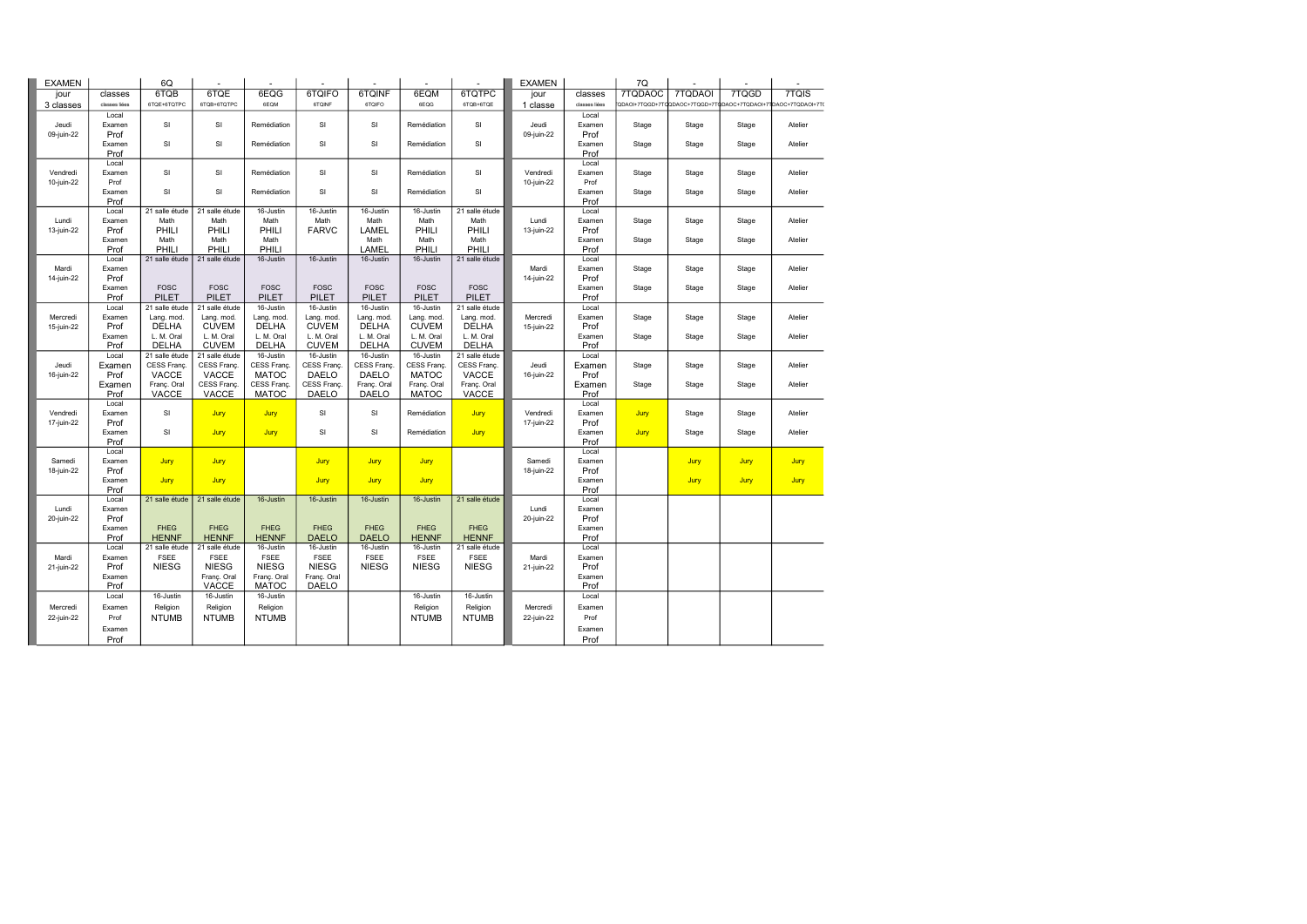| <b>EXAMEN</b> |               | 6Q             |                |              |              |              |              |                | <b>EXAMEN</b> |               | 7Q      |         |             |                                                               |
|---------------|---------------|----------------|----------------|--------------|--------------|--------------|--------------|----------------|---------------|---------------|---------|---------|-------------|---------------------------------------------------------------|
| jour          | classes       | 6TQB           | 6TQE           | 6EQG         | 6TQIFO       | 6TQINF       | 6EQM         | 6TQTPC         | jour          | classes       | 7TQDAOC | 7TQDAOI | 7TQGD       | 7TQIS                                                         |
| 3 classes     | classes liées | 6TQE+6TQTPC    | 6TQB+6TQTPC    | 6EQM         | 6TQINF       | 6TQIFO       | 6EQG         | 6TQB+6TQE      | 1 classe      | classes liées |         |         |             | QDAOI+7TQGD+7TQQDAOC+7TQGD+7TQDAOC+7TQDAOI+7TDAOC+7TQDAOI+7T( |
|               | Local         |                |                |              |              |              |              |                |               | Local         |         |         |             |                                                               |
| Jeudi         | Examen        | SI             | SI             | Remédiation  | SI           | SI           | Remédiation  | SI             | Jeudi         | Examen        | Stage   | Stage   | Stage       | Atelier                                                       |
| 09-juin-22    | Prof          |                |                |              |              |              |              |                | 09-juin-22    | Prof          |         |         |             |                                                               |
|               | Examen        | SI             | SI             | Remédiation  | SI           | SI           | Remédiation  | SI             |               | Examen        | Stage   | Stage   | Stage       | Atelier                                                       |
|               | Prof          |                |                |              |              |              |              |                |               | Prof          |         |         |             |                                                               |
|               | Local         |                |                |              |              |              |              |                |               | Local         |         |         |             |                                                               |
| Vendredi      | Examen        | SI             | SI             | Remédiation  | <b>SI</b>    | SI           | Remédiation  | SI             | Vendredi      | Examen        | Stage   | Stage   | Stage       | Atelier                                                       |
| 10-juin-22    | Prof          |                |                |              |              |              |              |                | 10-juin-22    | Prof          |         |         |             |                                                               |
|               | Examen        | SI             | SI             | Remédiation  | SI           | SI           | Remédiation  | SI             |               | Examen        | Stage   | Stage   | Stage       | Atelier                                                       |
|               | Prof          |                |                |              |              |              |              |                |               | Prof          |         |         |             |                                                               |
|               | Local         | 21 salle étude | 21 salle étude | 16-Justin    | 16-Justin    | 16-Justin    | 16-Justin    | 21 salle étude |               | Local         |         |         |             |                                                               |
| Lundi         | Examen        | Math           | Math           | Math         | Math         | Math         | Math         | Math           | Lundi         | Examen        | Stage   | Stage   | Stage       | Atelier                                                       |
| 13-juin-22    | Prof          | PHILI          | PHILI          | PHILI        | <b>FARVC</b> | <b>LAMEL</b> | PHILI        | PHILI          | 13-juin-22    | Prof          |         |         |             |                                                               |
|               | Examen        | Math           | Math           | Math         |              | Math         | Math         | Math           |               | Examen        | Stage   | Stage   | Stage       | Atelier                                                       |
|               | Prof          | PHILI          | PHILI          | PHILI        |              | LAMEL        | PHILI        | PHILI          |               | Prof          |         |         |             |                                                               |
|               | Local         | 21 salle étude | 21 salle étude | 16-Justin    | 16-Justin    | 16-Justin    | 16-Justin    | 21 salle étude |               | Local         |         |         |             |                                                               |
| Mardi         | Examen        |                |                |              |              |              |              |                | Mardi         | Examen        | Stage   | Stage   | Stage       | Atelier                                                       |
| 14-juin-22    | Prof          |                |                |              |              |              |              |                | 14-juin-22    | Prof          |         |         |             |                                                               |
|               | Examen        | <b>FOSC</b>    | <b>FOSC</b>    | <b>FOSC</b>  | <b>FOSC</b>  | <b>FOSC</b>  | <b>FOSC</b>  | <b>FOSC</b>    |               | Examen        | Stage   | Stage   | Stage       | Atelier                                                       |
|               | Prof          | <b>PILET</b>   | <b>PILET</b>   | <b>PILET</b> | <b>PILET</b> | <b>PILET</b> | <b>PILET</b> | <b>PILET</b>   |               | Prof          |         |         |             |                                                               |
|               | Local         | 21 salle étude | 21 salle étude | 16-Justin    | 16-Justin    | 16-Justin    | 16-Justin    | 21 salle étude |               | Local         |         |         |             |                                                               |
| Mercredi      | Examen        | Lang. mod.     | Lang. mod.     | Lang. mod.   | Lang. mod.   | Lang. mod.   | Lang. mod.   | Lang. mod.     | Mercredi      | Examen        | Stage   | Stage   | Stage       | Atelier                                                       |
| 15-juin-22    | Prof          | DELHA          | <b>CUVEM</b>   | <b>DELHA</b> | <b>CUVEM</b> | <b>DELHA</b> | <b>CUVEM</b> | DELHA          | 15-juin-22    | Prof          |         |         |             |                                                               |
|               | Examen        | L. M. Oral     | L. M. Oral     | L. M. Oral   | L. M. Oral   | L. M. Oral   | L. M. Oral   | L. M. Oral     |               | Examen        | Stage   | Stage   | Stage       | Atelier                                                       |
|               | Prof          | DELHA          | <b>CUVEM</b>   | <b>DELHA</b> | <b>CUVEM</b> | <b>DELHA</b> | <b>CUVEM</b> | <b>DELHA</b>   |               | Prof          |         |         |             |                                                               |
|               | Local         | 21 salle étude | 21 salle étude | 16-Justin    | 16-Justin    | 16-Justin    | 16-Justin    | 21 salle étude |               | Local         |         |         |             |                                                               |
| Jeudi         | Examen        | CESS Franç.    | CESS Franç.    | CESS Franç.  | CESS Franç.  | CESS Franç.  | CESS Franç.  | CESS Franç.    | Jeudi         | Examen        | Stage   | Stage   | Stage       | Atelier                                                       |
| 16-juin-22    | Prof          | VACCE          | <b>VACCE</b>   | <b>MATOC</b> | DAELO        | <b>DAELO</b> | <b>MATOC</b> | <b>VACCE</b>   | 16-juin-22    | Prof          |         |         |             |                                                               |
|               | Examen        | Franç. Oral    | CESS Franç.    | CESS Franç.  | CESS Franç.  | Franç. Oral  | Franç. Oral  | Franç. Oral    |               | Examen        | Stage   | Stage   | Stage       | Atelier                                                       |
|               | Prof<br>Local | <b>VACCE</b>   | <b>VACCE</b>   | <b>MATOC</b> | <b>DAELO</b> | <b>DAELO</b> | <b>MATOC</b> | <b>VACCE</b>   |               | Prof<br>Local |         |         |             |                                                               |
| Vendredi      | Examen        | SI             | Jury           | Jury         | SI           | SI           | Remédiation  | Jury           | Vendredi      | Examen        | Jury    | Stage   | Stage       | Atelier                                                       |
| 17-juin-22    | Prof          |                |                |              |              |              |              |                | 17-juin-22    | Prof          |         |         |             |                                                               |
|               | Examen        | SI             | Jury           | Jury         | SI           | SI           | Remédiation  | Jury           |               | Examen        | Jury    | Stage   | Stage       | Atelier                                                       |
|               | Prof          |                |                |              |              |              |              |                |               | Prof          |         |         |             |                                                               |
|               | Local         |                |                |              |              |              |              |                |               | Local         |         |         |             |                                                               |
| Samedi        | Examen        | Jury           | Jury           |              | Jury         | Jury         | Jury         |                | Samedi        | Examen        |         | Jury    | Jury        | Jury                                                          |
| 18-juin-22    | Prof          |                |                |              |              |              |              |                | 18-juin-22    | Prof          |         |         |             |                                                               |
|               | Examen        | Jury           | Jury           |              | Jury         | Jury         | Jury         |                |               | Examen        |         | Jury    | <b>Jury</b> | Jury                                                          |
|               | Prof          |                |                |              |              |              |              |                |               | Prof          |         |         |             |                                                               |
|               | Local         | 21 salle étude | 21 salle étude | 16-Justin    | 16-Justin    | 16-Justin    | 16-Justin    | 21 salle étude |               | Local         |         |         |             |                                                               |
| Lundi         | Examen        |                |                |              |              |              |              |                | Lundi         | Examen        |         |         |             |                                                               |
| 20-juin-22    | Prof          |                |                |              |              |              |              |                | 20-juin-22    | Prof          |         |         |             |                                                               |
|               | Examen        | <b>FHEG</b>    | <b>FHEG</b>    | <b>FHEG</b>  | <b>FHEG</b>  | <b>FHEG</b>  | <b>FHEG</b>  | <b>FHEG</b>    |               | Examen        |         |         |             |                                                               |
|               | Prof          | <b>HENNF</b>   | <b>HENNF</b>   | <b>HENNF</b> | <b>DAELO</b> | <b>DAELO</b> | <b>HENNF</b> | <b>HENNF</b>   |               | Prof          |         |         |             |                                                               |
|               | Local         | 21 salle étude | 21 salle étude | 16-Justin    | 16-Justin    | 16-Justin    | 16-Justin    | 21 salle étude |               | Local         |         |         |             |                                                               |
| Mardi         | Examen        | <b>FSEE</b>    | <b>FSEE</b>    | <b>FSEE</b>  | <b>FSEE</b>  | <b>FSEE</b>  | <b>FSEE</b>  | <b>FSEE</b>    | Mardi         | Examen        |         |         |             |                                                               |
| 21-juin-22    | Prof          | <b>NIESG</b>   | <b>NIESG</b>   | <b>NIESG</b> | <b>NIESG</b> | <b>NIESG</b> | <b>NIESG</b> | <b>NIESG</b>   | 21-juin-22    | Prof          |         |         |             |                                                               |
|               | Examen        |                | Franç. Oral    | Franç. Oral  | Franç. Oral  |              |              |                |               | Examen        |         |         |             |                                                               |
|               | Prof          |                | VACCE          | <b>MATOC</b> | <b>DAELO</b> |              |              |                |               | Prof          |         |         |             |                                                               |
|               | Local         | 16-Justin      | 16-Justin      | 16-Justin    |              |              | 16-Justin    | 16-Justin      |               | Local         |         |         |             |                                                               |
| Mercredi      | Examen        | Religion       | Religion       | Religion     |              |              | Religion     | Religion       | Mercredi      | Examen        |         |         |             |                                                               |
| 22-juin-22    | Prof          | <b>NTUMB</b>   | <b>NTUMB</b>   | <b>NTUMB</b> |              |              | <b>NTUMB</b> | <b>NTUMB</b>   | 22-juin-22    | Prof          |         |         |             |                                                               |
|               | Examen        |                |                |              |              |              |              |                |               | Examen        |         |         |             |                                                               |
|               | Prof          |                |                |              |              |              |              |                |               | Prof          |         |         |             |                                                               |